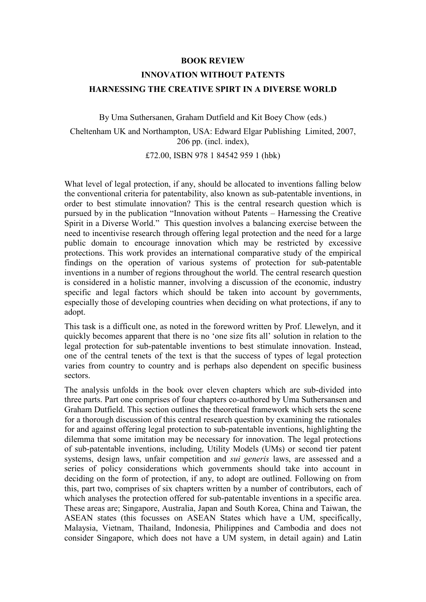## **BOOK REVIEW INNOVATION WITHOUT PATENTS HARNESSING THE CREATIVE SPIRT IN A DIVERSE WORLD**

By Uma Suthersanen, Graham Dutfield and Kit Boey Chow (eds.)

Cheltenham UK and Northampton, USA: Edward Elgar Publishing Limited, 2007, 206 pp. (incl. index),

£72.00, ISBN 978 1 84542 959 1 (hbk)

What level of legal protection, if any, should be allocated to inventions falling below the conventional criteria for patentability, also known as sub-patentable inventions, in order to best stimulate innovation? This is the central research question which is pursued by in the publication "Innovation without Patents – Harnessing the Creative Spirit in a Diverse World." This question involves a balancing exercise between the need to incentivise research through offering legal protection and the need for a large public domain to encourage innovation which may be restricted by excessive protections. This work provides an international comparative study of the empirical findings on the operation of various systems of protection for sub-patentable inventions in a number of regions throughout the world. The central research question is considered in a holistic manner, involving a discussion of the economic, industry specific and legal factors which should be taken into account by governments, especially those of developing countries when deciding on what protections, if any to adopt.

This task is a difficult one, as noted in the foreword written by Prof. Llewelyn, and it quickly becomes apparent that there is no 'one size fits all' solution in relation to the legal protection for sub-patentable inventions to best stimulate innovation. Instead, one of the central tenets of the text is that the success of types of legal protection varies from country to country and is perhaps also dependent on specific business sectors.

The analysis unfolds in the book over eleven chapters which are sub-divided into three parts. Part one comprises of four chapters co-authored by Uma Suthersansen and Graham Dutfield. This section outlines the theoretical framework which sets the scene for a thorough discussion of this central research question by examining the rationales for and against offering legal protection to sub-patentable inventions, highlighting the dilemma that some imitation may be necessary for innovation. The legal protections of sub-patentable inventions, including, Utility Models (UMs) or second tier patent systems, design laws, unfair competition and *sui generis* laws, are assessed and a series of policy considerations which governments should take into account in deciding on the form of protection, if any, to adopt are outlined. Following on from this, part two, comprises of six chapters written by a number of contributors, each of which analyses the protection offered for sub-patentable inventions in a specific area. These areas are; Singapore, Australia, Japan and South Korea, China and Taiwan, the ASEAN states (this focusses on ASEAN States which have a UM, specifically, Malaysia, Vietnam, Thailand, Indonesia, Philippines and Cambodia and does not consider Singapore, which does not have a UM system, in detail again) and Latin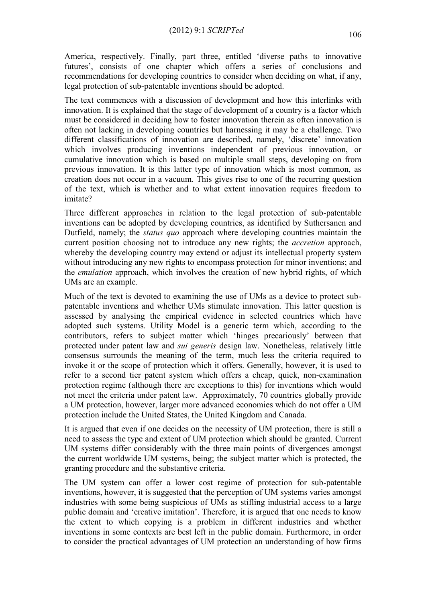America, respectively. Finally, part three, entitled 'diverse paths to innovative futures', consists of one chapter which offers a series of conclusions and recommendations for developing countries to consider when deciding on what, if any, legal protection of sub-patentable inventions should be adopted.

The text commences with a discussion of development and how this interlinks with innovation. It is explained that the stage of development of a country is a factor which must be considered in deciding how to foster innovation therein as often innovation is often not lacking in developing countries but harnessing it may be a challenge. Two different classifications of innovation are described, namely, 'discrete' innovation which involves producing inventions independent of previous innovation, or cumulative innovation which is based on multiple small steps, developing on from previous innovation. It is this latter type of innovation which is most common, as creation does not occur in a vacuum. This gives rise to one of the recurring question of the text, which is whether and to what extent innovation requires freedom to imitate?

Three different approaches in relation to the legal protection of sub-patentable inventions can be adopted by developing countries, as identified by Suthersanen and Dutfield, namely; the *status quo* approach where developing countries maintain the current position choosing not to introduce any new rights; the *accretion* approach, whereby the developing country may extend or adjust its intellectual property system without introducing any new rights to encompass protection for minor inventions; and the *emulation* approach, which involves the creation of new hybrid rights, of which UMs are an example.

Much of the text is devoted to examining the use of UMs as a device to protect subpatentable inventions and whether UMs stimulate innovation. This latter question is assessed by analysing the empirical evidence in selected countries which have adopted such systems. Utility Model is a generic term which, according to the contributors, refers to subject matter which 'hinges precariously' between that protected under patent law and *sui generis* design law. Nonetheless, relatively little consensus surrounds the meaning of the term, much less the criteria required to invoke it or the scope of protection which it offers. Generally, however, it is used to refer to a second tier patent system which offers a cheap, quick, non-examination protection regime (although there are exceptions to this) for inventions which would not meet the criteria under patent law. Approximately, 70 countries globally provide a UM protection, however, larger more advanced economies which do not offer a UM protection include the United States, the United Kingdom and Canada.

It is argued that even if one decides on the necessity of UM protection, there is still a need to assess the type and extent of UM protection which should be granted. Current UM systems differ considerably with the three main points of divergences amongst the current worldwide UM systems, being; the subject matter which is protected, the granting procedure and the substantive criteria.

The UM system can offer a lower cost regime of protection for sub-patentable inventions, however, it is suggested that the perception of UM systems varies amongst industries with some being suspicious of UMs as stifling industrial access to a large public domain and 'creative imitation'. Therefore, it is argued that one needs to know the extent to which copying is a problem in different industries and whether inventions in some contexts are best left in the public domain. Furthermore, in order to consider the practical advantages of UM protection an understanding of how firms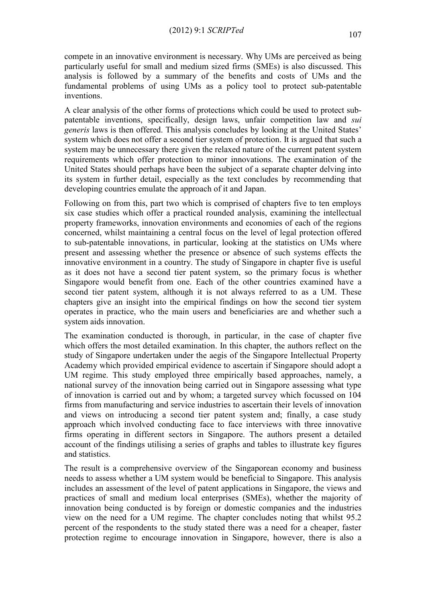compete in an innovative environment is necessary. Why UMs are perceived as being particularly useful for small and medium sized firms (SMEs) is also discussed. This analysis is followed by a summary of the benefits and costs of UMs and the fundamental problems of using UMs as a policy tool to protect sub-patentable inventions.

A clear analysis of the other forms of protections which could be used to protect subpatentable inventions, specifically, design laws, unfair competition law and *sui generis* laws is then offered. This analysis concludes by looking at the United States' system which does not offer a second tier system of protection. It is argued that such a system may be unnecessary there given the relaxed nature of the current patent system requirements which offer protection to minor innovations. The examination of the United States should perhaps have been the subject of a separate chapter delving into its system in further detail, especially as the text concludes by recommending that developing countries emulate the approach of it and Japan.

Following on from this, part two which is comprised of chapters five to ten employs six case studies which offer a practical rounded analysis, examining the intellectual property frameworks, innovation environments and economies of each of the regions concerned, whilst maintaining a central focus on the level of legal protection offered to sub-patentable innovations, in particular, looking at the statistics on UMs where present and assessing whether the presence or absence of such systems effects the innovative environment in a country. The study of Singapore in chapter five is useful as it does not have a second tier patent system, so the primary focus is whether Singapore would benefit from one. Each of the other countries examined have a second tier patent system, although it is not always referred to as a UM. These chapters give an insight into the empirical findings on how the second tier system operates in practice, who the main users and beneficiaries are and whether such a system aids innovation.

The examination conducted is thorough, in particular, in the case of chapter five which offers the most detailed examination. In this chapter, the authors reflect on the study of Singapore undertaken under the aegis of the Singapore Intellectual Property Academy which provided empirical evidence to ascertain if Singapore should adopt a UM regime. This study employed three empirically based approaches, namely, a national survey of the innovation being carried out in Singapore assessing what type of innovation is carried out and by whom; a targeted survey which focussed on 104 firms from manufacturing and service industries to ascertain their levels of innovation and views on introducing a second tier patent system and; finally, a case study approach which involved conducting face to face interviews with three innovative firms operating in different sectors in Singapore. The authors present a detailed account of the findings utilising a series of graphs and tables to illustrate key figures and statistics.

The result is a comprehensive overview of the Singaporean economy and business needs to assess whether a UM system would be beneficial to Singapore. This analysis includes an assessment of the level of patent applications in Singapore, the views and practices of small and medium local enterprises (SMEs), whether the majority of innovation being conducted is by foreign or domestic companies and the industries view on the need for a UM regime. The chapter concludes noting that whilst 95.2 percent of the respondents to the study stated there was a need for a cheaper, faster protection regime to encourage innovation in Singapore, however, there is also a